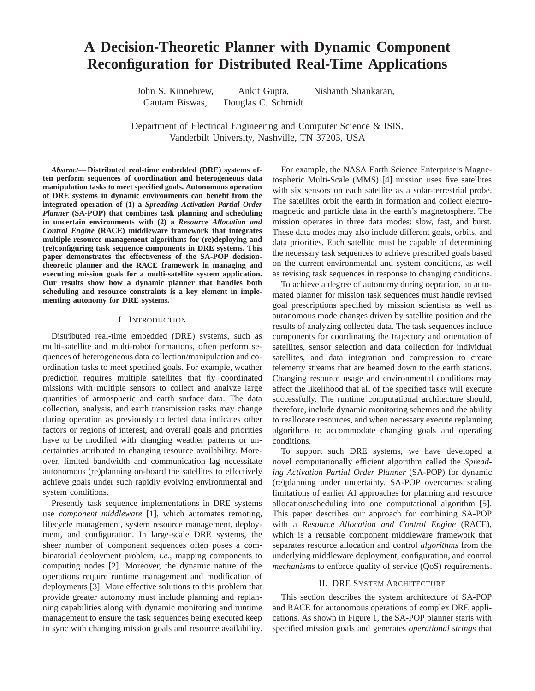# **A Decision-Theoretic Planner with Dynamic Component Reconfiguration for Distributed Real-Time Applications**

John S. Kinnebrew, Ankit Gupta, Nishanth Shankaran, Gautam Biswas, Douglas C. Schmidt

Department of Electrical Engineering and Computer Science & ISIS, Vanderbilt University, Nashville, TN 37203, USA

*Abstract***— Distributed real-time embedded (DRE) systems often perform sequences of coordination and heterogeneous data manipulation tasks to meet specified goals. Autonomous operation of DRE systems in dynamic environments can benefit from the integrated operation of (1) a** *Spreading Activation Partial Order Planner* **(SA-POP) that combines task planning and scheduling in uncertain environments with (2) a** *Resource Allocation and Control Engine* **(RACE) middleware framework that integrates multiple resource management algorithms for (re)deploying and (re)configuring task sequence components in DRE systems. This paper demonstrates the effectiveness of the SA-POP decisiontheoretic planner and the RACE framework in managing and executing mission goals for a multi-satellite system application. Our results show how a dynamic planner that handles both scheduling and resource constraints is a key element in implementing autonomy for DRE systems.**

### I. INTRODUCTION

Distributed real-time embedded (DRE) systems, such as multi-satellite and multi-robot formations, often perform sequences of heterogeneous data collection/manipulation and coordination tasks to meet specified goals. For example, weather prediction requires multiple satellites that fly coordinated missions with multiple sensors to collect and analyze large quantities of atmospheric and earth surface data. The data collection, analysis, and earth transmission tasks may change during operation as previously collected data indicates other factors or regions of interest, and overall goals and priorities have to be modified with changing weather patterns or uncertainties attributed to changing resource availability. Moreover, limited bandwidth and communication lag necessitate autonomous (re)planning on-board the satellites to effectively achieve goals under such rapidly evolving environmental and system conditions.

Presently task sequence implementations in DRE systems use *component middleware* [1], which automates remoting, lifecycle management, system resource management, deployment, and configuration. In large-scale DRE systems, the sheer number of component sequences often poses a combinatorial deployment problem, *i.e.*, mapping components to computing nodes [2]. Moreover, the dynamic nature of the operations require runtime management and modification of deployments [3]. More effective solutions to this problem that provide greater autonomy must include planning and replanning capabilities along with dynamic monitoring and runtime management to ensure the task sequences being executed keep in sync with changing mission goals and resource availability.

For example, the NASA Earth Science Enterprise's Magnetospheric Multi-Scale (MMS) [4] mission uses five satellites with six sensors on each satellite as a solar-terrestrial probe. The satellites orbit the earth in formation and collect electromagnetic and particle data in the earth's magnetosphere. The mission operates in three data modes: slow, fast, and burst. These data modes may also include different goals, orbits, and data priorities. Each satellite must be capable of determining the necessary task sequences to achieve prescribed goals based on the current environmental and system conditions, as well as revising task sequences in response to changing conditions.

To achieve a degree of autonomy during oepration, an automated planner for mission task sequences must handle revised goal prescriptions specified by mission scientists as well as autonomous mode changes driven by satellite position and the results of analyzing collected data. The task sequences include components for coordinating the trajectory and orientation of satellites, sensor selection and data collection for individual satellites, and data integration and compression to create telemetry streams that are beamed down to the earth stations. Changing resource usage and environmental conditions may affect the likelihood that all of the specified tasks will execute successfully. The runtime computational architecture should, therefore, include dynamic monitoring schemes and the ability to reallocate resources, and when necessary execute replanning algorithms to accommodate changing goals and operating conditions.

To support such DRE systems, we have developed a novel computationally efficient algorithm called the *Spreading Activation Partial Order Planner* (SA-POP) for dynamic (re)planning under uncertainty. SA-POP overcomes scaling limitations of earlier AI approaches for planning and resource allocation/scheduling into one computational algorithm [5]. This paper describes our approach for combining SA-POP with a *Resource Allocation and Control Engine* (RACE), which is a reusable component middleware framework that separates resource allocation and control *algorithms* from the underlying middleware deployment, configuration, and control *mechanisms* to enforce quality of service (QoS) requirements.

## II. DRE SYSTEM ARCHITECTURE

This section describes the system architecture of SA-POP and RACE for autonomous operations of complex DRE applications. As shown in Figure 1, the SA-POP planner starts with specified mission goals and generates *operational strings* that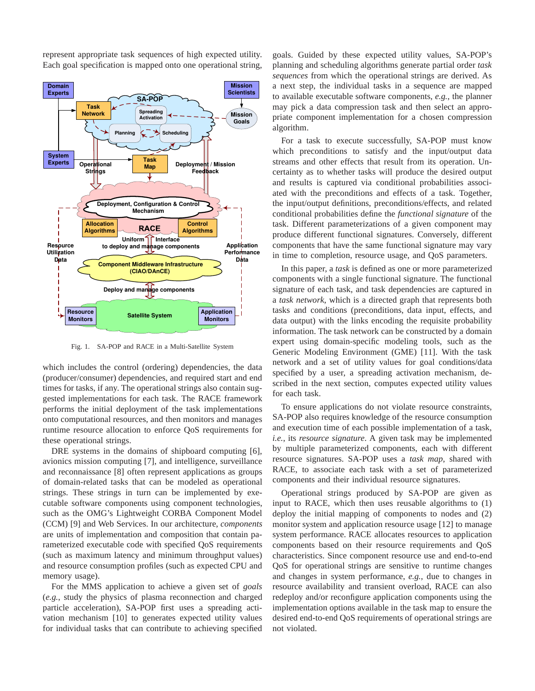represent appropriate task sequences of high expected utility. Each goal specification is mapped onto one operational string,



Fig. 1. SA-POP and RACE in a Multi-Satellite System

which includes the control (ordering) dependencies, the data (producer/consumer) dependencies, and required start and end times for tasks, if any. The operational strings also contain suggested implementations for each task. The RACE framework performs the initial deployment of the task implementations onto computational resources, and then monitors and manages runtime resource allocation to enforce QoS requirements for these operational strings.

DRE systems in the domains of shipboard computing [6], avionics mission computing [7], and intelligence, surveillance and reconnaissance [8] often represent applications as groups of domain-related tasks that can be modeled as operational strings. These strings in turn can be implemented by executable software components using component technologies, such as the OMG's Lightweight CORBA Component Model (CCM) [9] and Web Services. In our architecture, *components* are units of implementation and composition that contain parameterized executable code with specified QoS requirements (such as maximum latency and minimum throughput values) and resource consumption profiles (such as expected CPU and memory usage).

For the MMS application to achieve a given set of *goals* (*e.g.*, study the physics of plasma reconnection and charged particle acceleration), SA-POP first uses a spreading activation mechanism [10] to generates expected utility values for individual tasks that can contribute to achieving specified

goals. Guided by these expected utility values, SA-POP's planning and scheduling algorithms generate partial order *task sequences* from which the operational strings are derived. As a next step, the individual tasks in a sequence are mapped to available executable software components, *e.g.*, the planner may pick a data compression task and then select an appropriate component implementation for a chosen compression algorithm.

For a task to execute successfully, SA-POP must know which preconditions to satisfy and the input/output data streams and other effects that result from its operation. Uncertainty as to whether tasks will produce the desired output and results is captured via conditional probabilities associated with the preconditions and effects of a task. Together, the input/output definitions, preconditions/effects, and related conditional probabilities define the *functional signature* of the task. Different parameterizations of a given component may produce different functional signatures. Conversely, different components that have the same functional signature may vary in time to completion, resource usage, and QoS parameters.

In this paper, a *task* is defined as one or more parameterized components with a single functional signature. The functional signature of each task, and task dependencies are captured in a *task network*, which is a directed graph that represents both tasks and conditions (preconditions, data input, effects, and data output) with the links encoding the requisite probability information. The task network can be constructed by a domain expert using domain-specific modeling tools, such as the Generic Modeling Environment (GME) [11]. With the task network and a set of utility values for goal conditions/data specified by a user, a spreading activation mechanism, described in the next section, computes expected utility values for each task.

To ensure applications do not violate resource constraints, SA-POP also requires knowledge of the resource consumption and execution time of each possible implementation of a task, *i.e.*, its *resource signature*. A given task may be implemented by multiple parameterized components, each with different resource signatures. SA-POP uses a *task map*, shared with RACE, to associate each task with a set of parameterized components and their individual resource signatures.

Operational strings produced by SA-POP are given as input to RACE, which then uses reusable algorithms to (1) deploy the initial mapping of components to nodes and (2) monitor system and application resource usage [12] to manage system performance. RACE allocates resources to application components based on their resource requirements and QoS characteristics. Since component resource use and end-to-end QoS for operational strings are sensitive to runtime changes and changes in system performance, *e.g.*, due to changes in resource availability and transient overload, RACE can also redeploy and/or reconfigure application components using the implementation options available in the task map to ensure the desired end-to-end QoS requirements of operational strings are not violated.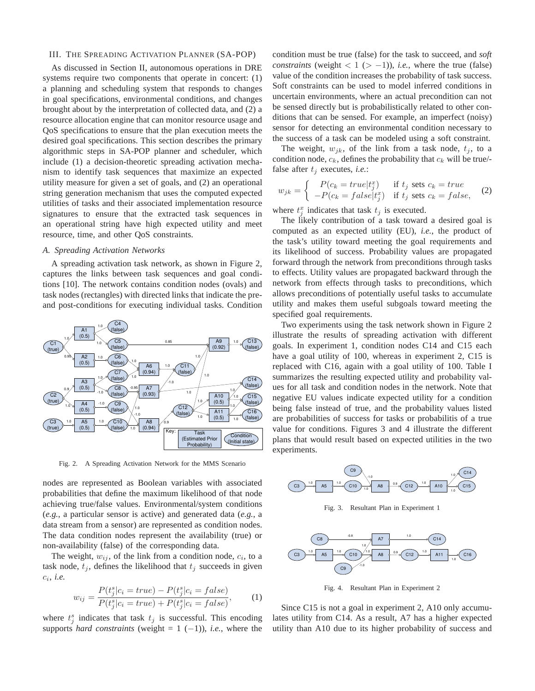#### III. THE SPREADING ACTIVATION PLANNER (SA-POP)

As discussed in Section II, autonomous operations in DRE systems require two components that operate in concert: (1) a planning and scheduling system that responds to changes in goal specifications, environmental conditions, and changes brought about by the interpretation of collected data, and (2) a resource allocation engine that can monitor resource usage and QoS specifications to ensure that the plan execution meets the desired goal specifications. This section describes the primary algorithmic steps in SA-POP planner and scheduler, which include (1) a decision-theoretic spreading activation mechanism to identify task sequences that maximize an expected utility measure for given a set of goals, and (2) an operational string generation mechanism that uses the computed expected utilities of tasks and their associated implementation resource signatures to ensure that the extracted task sequences in an operational string have high expected utility and meet resource, time, and other QoS constraints.

#### *A. Spreading Activation Networks*

A spreading activation task network, as shown in Figure 2, captures the links between task sequences and goal conditions [10]. The network contains condition nodes (ovals) and task nodes (rectangles) with directed links that indicate the preand post-conditions for executing individual tasks. Condition



Fig. 2. A Spreading Activation Network for the MMS Scenario

nodes are represented as Boolean variables with associated probabilities that define the maximum likelihood of that node achieving true/false values. Environmental/system conditions (*e.g.*, a particular sensor is active) and generated data (*e.g.*, a data stream from a sensor) are represented as condition nodes. The data condition nodes represent the availability (true) or non-availability (false) of the corresponding data.

The weight,  $w_{ij}$ , of the link from a condition node,  $c_i$ , to a task node,  $t_i$ , defines the likelihood that  $t_i$  succeeds in given ci , *i.e.*

$$
w_{ij} = \frac{P(t_j^s|c_i = true) - P(t_j^s|c_i = false)}{P(t_j^s|c_i = true) + P(t_j^s|c_i = false)},
$$
 (1)

where  $t_j^s$  indicates that task  $t_j$  is successful. This encoding supports *hard constraints* (weight =  $1$  (−1)), *i.e.*, where the

condition must be true (false) for the task to succeed, and *soft constraints* (weight  $< 1$  ( $> -1$ )), *i.e.*, where the true (false) value of the condition increases the probability of task success. Soft constraints can be used to model inferred conditions in uncertain environments, where an actual precondition can not be sensed directly but is probabilistically related to other conditions that can be sensed. For example, an imperfect (noisy) sensor for detecting an environmental condition necessary to the success of a task can be modeled using a soft constraint.

The weight,  $w_{jk}$ , of the link from a task node,  $t_j$ , to a condition node,  $c_k$ , defines the probability that  $c_k$  will be true/false after  $t_i$  executes, *i.e.*:

$$
w_{jk} = \begin{cases} P(c_k = true | t_j^x) & \text{if } t_j \text{ sets } c_k = true \\ -P(c_k = false | t_j^x) & \text{if } t_j \text{ sets } c_k = false, \end{cases} (2)
$$

where  $t_j^x$  indicates that task  $t_j$  is executed.

The likely contribution of a task toward a desired goal is computed as an expected utility (EU), *i.e.*, the product of the task's utility toward meeting the goal requirements and its likelihood of success. Probability values are propagated forward through the network from preconditions through tasks to effects. Utility values are propagated backward through the network from effects through tasks to preconditions, which allows preconditions of potentially useful tasks to accumulate utility and makes them useful subgoals toward meeting the specified goal requirements.

Two experiments using the task network shown in Figure 2 illustrate the results of spreading activation with different goals. In experiment 1, condition nodes C14 and C15 each have a goal utility of 100, whereas in experiment 2, C15 is replaced with C16, again with a goal utility of 100. Table I summarizes the resulting expected utility and probability values for all task and condition nodes in the network. Note that negative EU values indicate expected utility for a condition being false instead of true, and the probability values listed are probabilities of success for tasks or probabilitis of a true value for conditions. Figures 3 and 4 illustrate the different plans that would result based on expected utilities in the two experiments.



Fig. 3. Resultant Plan in Experiment 1



Fig. 4. Resultant Plan in Experiment 2

Since C15 is not a goal in experiment 2, A10 only accumulates utility from C14. As a result, A7 has a higher expected utility than A10 due to its higher probability of success and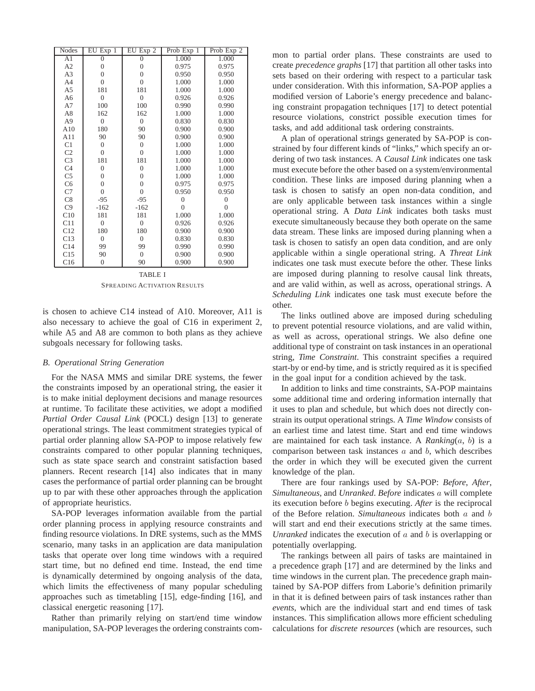| Nodes          | EU Exp 1         | EU Exp 2         | Prob Exp 1 | Prob Exp 2 |
|----------------|------------------|------------------|------------|------------|
| A1             | $\theta$         | $\theta$         | 1.000      | 1.000      |
| A2             | $\boldsymbol{0}$ | $\overline{0}$   | 0.975      | 0.975      |
| A <sub>3</sub> | $\Omega$         | $\theta$         | 0.950      | 0.950      |
| A4             | $\overline{0}$   | $\theta$         | 1.000      | 1.000      |
| A5             | 181              | 181              | 1.000      | 1.000      |
| A6             | $\boldsymbol{0}$ | $\boldsymbol{0}$ | 0.926      | 0.926      |
| A7             | 100              | 100              | 0.990      | 0.990      |
| A8             | 162              | 162              | 1.000      | 1.000      |
| A <sub>9</sub> | $\boldsymbol{0}$ | $\boldsymbol{0}$ | 0.830      | 0.830      |
| A10            | 180              | 90               | 0.900      | 0.900      |
| A11            | 90               | 90               | 0.900      | 0.900      |
| C1             | $\theta$         | $\boldsymbol{0}$ | 1.000      | 1.000      |
| C <sub>2</sub> | $\overline{0}$   | $\theta$         | 1.000      | 1.000      |
| C <sub>3</sub> | 181              | 181              | 1.000      | 1.000      |
| C <sub>4</sub> | $\overline{0}$   | $\overline{0}$   | 1.000      | 1.000      |
| C <sub>5</sub> | $\overline{0}$   | $\overline{0}$   | 1.000      | 1.000      |
| C <sub>6</sub> | $\Omega$         | $\Omega$         | 0.975      | 0.975      |
| C7             | $\overline{0}$   | $\overline{0}$   | 0.950      | 0.950      |
| C8             | $-95$            | $-95$            | $\theta$   | $\theta$   |
| C9             | $-162$           | $-162$           | $\Omega$   | $\theta$   |
| C10            | 181              | 181              | 1.000      | 1.000      |
| C11            | $\overline{0}$   | $\overline{0}$   | 0.926      | 0.926      |
| C12            | 180              | 180              | 0.900      | 0.900      |
| C13            | $\theta$         | $\overline{0}$   | 0.830      | 0.830      |
| C14            | 99               | 99               | 0.990      | 0.990      |
| C15            | 90               | $\boldsymbol{0}$ | 0.900      | 0.900      |
| C16            | $\overline{0}$   | 90               | 0.900      | 0.900      |

TABLE I SPREADING ACTIVATION RESULTS

is chosen to achieve C14 instead of A10. Moreover, A11 is also necessary to achieve the goal of C16 in experiment 2, while A5 and A8 are common to both plans as they achieve subgoals necessary for following tasks.

## *B. Operational String Generation*

For the NASA MMS and similar DRE systems, the fewer the constraints imposed by an operational string, the easier it is to make initial deployment decisions and manage resources at runtime. To facilitate these activities, we adopt a modified *Partial Order Causal Link* (POCL) design [13] to generate operational strings. The least commitment strategies typical of partial order planning allow SA-POP to impose relatively few constraints compared to other popular planning techniques, such as state space search and constraint satisfaction based planners. Recent research [14] also indicates that in many cases the performance of partial order planning can be brought up to par with these other approaches through the application of appropriate heuristics.

SA-POP leverages information available from the partial order planning process in applying resource constraints and finding resource violations. In DRE systems, such as the MMS scenario, many tasks in an application are data manipulation tasks that operate over long time windows with a required start time, but no defined end time. Instead, the end time is dynamically determined by ongoing analysis of the data, which limits the effectiveness of many popular scheduling approaches such as timetabling [15], edge-finding [16], and classical energetic reasoning [17].

Rather than primarily relying on start/end time window manipulation, SA-POP leverages the ordering constraints common to partial order plans. These constraints are used to create *precedence graphs* [17] that partition all other tasks into sets based on their ordering with respect to a particular task under consideration. With this information, SA-POP applies a modified version of Laborie's energy precedence and balancing constraint propagation techniques [17] to detect potential resource violations, constrict possible execution times for tasks, and add additional task ordering constraints.

A plan of operational strings generated by SA-POP is constrained by four different kinds of "links," which specify an ordering of two task instances. A *Causal Link* indicates one task must execute before the other based on a system/environmental condition. These links are imposed during planning when a task is chosen to satisfy an open non-data condition, and are only applicable between task instances within a single operational string. A *Data Link* indicates both tasks must execute simultaneously because they both operate on the same data stream. These links are imposed during planning when a task is chosen to satisfy an open data condition, and are only applicable within a single operational string. A *Threat Link* indicates one task must execute before the other. These links are imposed during planning to resolve causal link threats, and are valid within, as well as across, operational strings. A *Scheduling Link* indicates one task must execute before the other.

The links outlined above are imposed during scheduling to prevent potential resource violations, and are valid within, as well as across, operational strings. We also define one additional type of constraint on task instances in an operational string, *Time Constraint*. This constraint specifies a required start-by or end-by time, and is strictly required as it is specified in the goal input for a condition achieved by the task.

In addition to links and time constraints, SA-POP maintains some additional time and ordering information internally that it uses to plan and schedule, but which does not directly constrain its output operational strings. A *Time Window* consists of an earliest time and latest time. Start and end time windows are maintained for each task instance. A *Ranking*(a, b) is a comparison between task instances  $a$  and  $b$ , which describes the order in which they will be executed given the current knowledge of the plan.

There are four rankings used by SA-POP: *Before*, *After*, *Simultaneous*, and *Unranked*. *Before* indicates a will complete its execution before b begins executing. *After* is the reciprocal of the Before relation. *Simultaneous* indicates both a and b will start and end their executions strictly at the same times. *Unranked* indicates the execution of a and b is overlapping or potentially overlapping.

The rankings between all pairs of tasks are maintained in a precedence graph [17] and are determined by the links and time windows in the current plan. The precedence graph maintained by SA-POP differs from Laborie's definition primarily in that it is defined between pairs of task instances rather than *events*, which are the individual start and end times of task instances. This simplification allows more efficient scheduling calculations for *discrete resources* (which are resources, such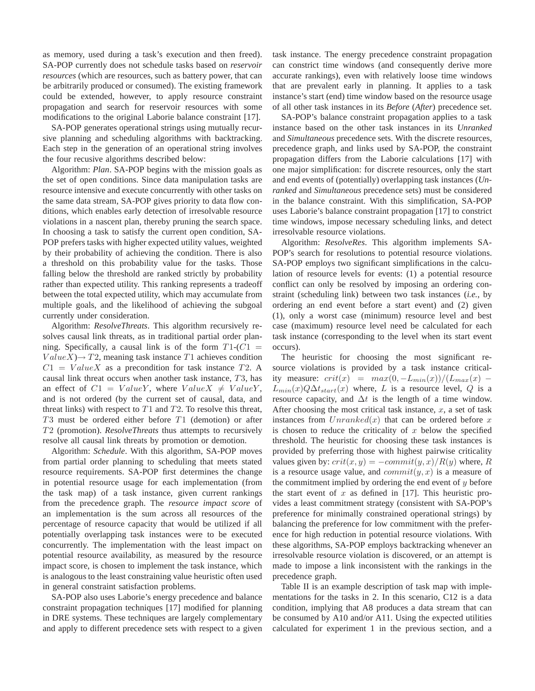as memory, used during a task's execution and then freed). SA-POP currently does not schedule tasks based on *reservoir resources* (which are resources, such as battery power, that can be arbitrarily produced or consumed). The existing framework could be extended, however, to apply resource constraint propagation and search for reservoir resources with some modifications to the original Laborie balance constraint [17].

SA-POP generates operational strings using mutually recursive planning and scheduling algorithms with backtracking. Each step in the generation of an operational string involves the four recusive algorithms described below:

Algorithm: *Plan*. SA-POP begins with the mission goals as the set of open conditions. Since data manipulation tasks are resource intensive and execute concurrently with other tasks on the same data stream, SA-POP gives priority to data flow conditions, which enables early detection of irresolvable resource violations in a nascent plan, thereby pruning the search space. In choosing a task to satisfy the current open condition, SA-POP prefers tasks with higher expected utility values, weighted by their probability of achieving the condition. There is also a threshold on this probability value for the tasks. Those falling below the threshold are ranked strictly by probability rather than expected utility. This ranking represents a tradeoff between the total expected utility, which may accumulate from multiple goals, and the likelihood of achieving the subgoal currently under consideration.

Algorithm: *ResolveThreats*. This algorithm recursively resolves causal link threats, as in traditional partial order planning. Specifically, a causal link is of the form  $T1-(C1)$  $ValueX \rightarrow T2$ , meaning task instance T1 achieves condition  $C1 = ValueX$  as a precondition for task instance T2. A causal link threat occurs when another task instance,  $T3$ , has an effect of  $C1 = ValueY$ , where  $ValueX \neq ValueY$ , and is not ordered (by the current set of causal, data, and threat links) with respect to  $T_1$  and  $T_2$ . To resolve this threat,  $T3$  must be ordered either before  $T1$  (demotion) or after T<sub>2</sub> (promotion). *ResolveThreats* thus attempts to recursively resolve all causal link threats by promotion or demotion.

Algorithm: *Schedule*. With this algorithm, SA-POP moves from partial order planning to scheduling that meets stated resource requirements. SA-POP first determines the change in potential resource usage for each implementation (from the task map) of a task instance, given current rankings from the precedence graph. The *resource impact score* of an implementation is the sum across all resources of the percentage of resource capacity that would be utilized if all potentially overlapping task instances were to be executed concurrently. The implementation with the least impact on potential resource availability, as measured by the resource impact score, is chosen to implement the task instance, which is analogous to the least constraining value heuristic often used in general constraint satisfaction problems.

SA-POP also uses Laborie's energy precedence and balance constraint propagation techniques [17] modified for planning in DRE systems. These techniques are largely complementary and apply to different precedence sets with respect to a given

task instance. The energy precedence constraint propagation can constrict time windows (and consequently derive more accurate rankings), even with relatively loose time windows that are prevalent early in planning. It applies to a task instance's start (end) time window based on the resource usage of all other task instances in its *Before* (*After*) precedence set.

SA-POP's balance constraint propagation applies to a task instance based on the other task instances in its *Unranked* and *Simultaneous* precedence sets. With the discrete resources, precedence graph, and links used by SA-POP, the constraint propagation differs from the Laborie calculations [17] with one major simplification: for discrete resources, only the start and end events of (potentially) overlapping task instances (*Unranked* and *Simultaneous* precedence sets) must be considered in the balance constraint. With this simplification, SA-POP uses Laborie's balance constraint propagation [17] to constrict time windows, impose necessary scheduling links, and detect irresolvable resource violations.

Algorithm: *ResolveRes*. This algorithm implements SA-POP's search for resolutions to potential resource violations. SA-POP employs two significant simplifications in the calculation of resource levels for events: (1) a potential resource conflict can only be resolved by imposing an ordering constraint (scheduling link) between two task instances (*i.e.*, by ordering an end event before a start event) and (2) given (1), only a worst case (minimum) resource level and best case (maximum) resource level need be calculated for each task instance (corresponding to the level when its start event occurs).

The heuristic for choosing the most significant resource violations is provided by a task instance criticality measure:  $crit(x) = max(0, -L_{min}(x))/(L_{max}(x) L_{min}(x)Q\Delta t_{start}(x)$  where, L is a resource level, Q is a resource capacity, and  $\Delta t$  is the length of a time window. After choosing the most critical task instance,  $x$ , a set of task instances from  $Unranked(x)$  that can be ordered before x is chosen to reduce the criticality of  $x$  below the specified threshold. The heuristic for choosing these task instances is provided by preferring those with highest pairwise criticality values given by:  $crit(x, y) = -commit(y, x)/R(y)$  where, R is a resource usage value, and  $commit(y, x)$  is a measure of the commitment implied by ordering the end event of  $y$  before the start event of  $x$  as defined in [17]. This heuristic provides a least commitment strategy (consistent with SA-POP's preference for minimally constrained operational strings) by balancing the preference for low commitment with the preference for high reduction in potential resource violations. With these algorithms, SA-POP employs backtracking whenever an irresolvable resource violation is discovered, or an attempt is made to impose a link inconsistent with the rankings in the precedence graph.

Table II is an example description of task map with implementations for the tasks in 2. In this scenario, C12 is a data condition, implying that A8 produces a data stream that can be consumed by A10 and/or A11. Using the expected utilities calculated for experiment 1 in the previous section, and a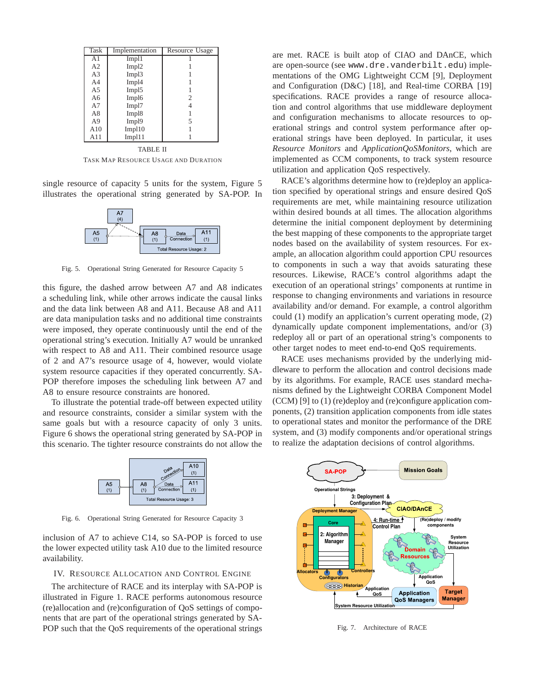| Task           | Implementation    | Resource Usage |  |  |
|----------------|-------------------|----------------|--|--|
| A <sub>1</sub> | Impl1             |                |  |  |
| A <sub>2</sub> | Impl <sub>2</sub> |                |  |  |
| A <sub>3</sub> | Impl3             |                |  |  |
| A <sub>4</sub> | Impl <sub>4</sub> |                |  |  |
| A <sub>5</sub> | Impl <sub>5</sub> |                |  |  |
| A <sub>6</sub> | Impl6             | 2              |  |  |
| A7             | Impl7             |                |  |  |
| A8             | Impl8             |                |  |  |
| A <sub>9</sub> | Impl9             | 5              |  |  |
| A10            | Impl10            |                |  |  |
| A11            | Impl11            |                |  |  |
| TABLE II       |                   |                |  |  |

TASK MAP RESOURCE USAGE AND DURATION

single resource of capacity 5 units for the system, Figure 5 illustrates the operational string generated by SA-POP. In



Fig. 5. Operational String Generated for Resource Capacity 5

this figure, the dashed arrow between A7 and A8 indicates a scheduling link, while other arrows indicate the causal links and the data link between A8 and A11. Because A8 and A11 are data manipulation tasks and no additional time constraints were imposed, they operate continuously until the end of the operational string's execution. Initially A7 would be unranked with respect to A8 and A11. Their combined resource usage of 2 and A7's resource usage of 4, however, would violate system resource capacities if they operated concurrently. SA-POP therefore imposes the scheduling link between A7 and A8 to ensure resource constraints are honored.

To illustrate the potential trade-off between expected utility and resource constraints, consider a similar system with the same goals but with a resource capacity of only 3 units. Figure 6 shows the operational string generated by SA-POP in this scenario. The tighter resource constraints do not allow the



Fig. 6. Operational String Generated for Resource Capacity 3

inclusion of A7 to achieve C14, so SA-POP is forced to use the lower expected utility task A10 due to the limited resource availability.

#### IV. RESOURCE ALLOCATION AND CONTROL ENGINE

The architecture of RACE and its interplay with SA-POP is illustrated in Figure 1. RACE performs autonomous resource (re)allocation and (re)configuration of QoS settings of components that are part of the operational strings generated by SA-POP such that the QoS requirements of the operational strings

are met. RACE is built atop of CIAO and DAnCE, which are open-source (see www.dre.vanderbilt.edu) implementations of the OMG Lightweight CCM [9], Deployment and Configuration (D&C) [18], and Real-time CORBA [19] specifications. RACE provides a range of resource allocation and control algorithms that use middleware deployment and configuration mechanisms to allocate resources to operational strings and control system performance after operational strings have been deployed. In particular, it uses *Resource Monitors* and *ApplicationQoSMonitors*, which are implemented as CCM components, to track system resource utilization and application QoS respectively.

RACE's algorithms determine how to (re)deploy an application specified by operational strings and ensure desired QoS requirements are met, while maintaining resource utilization within desired bounds at all times. The allocation algorithms determine the initial component deployment by determining the best mapping of these components to the appropriate target nodes based on the availability of system resources. For example, an allocation algorithm could apportion CPU resources to components in such a way that avoids saturating these resources. Likewise, RACE's control algorithms adapt the execution of an operational strings' components at runtime in response to changing environments and variations in resource availability and/or demand. For example, a control algorithm could (1) modify an application's current operating mode, (2) dynamically update component implementations, and/or (3) redeploy all or part of an operational string's components to other target nodes to meet end-to-end QoS requirements.

RACE uses mechanisms provided by the underlying middleware to perform the allocation and control decisions made by its algorithms. For example, RACE uses standard mechanisms defined by the Lightweight CORBA Component Model (CCM) [9] to (1) (re)deploy and (re)configure application components, (2) transition application components from idle states to operational states and monitor the performance of the DRE system, and (3) modify components and/or operational strings to realize the adaptation decisions of control algorithms.



Fig. 7. Architecture of RACE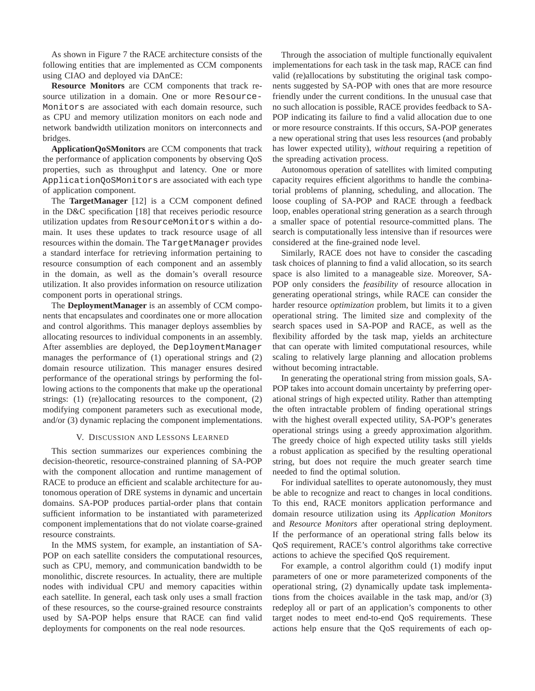As shown in Figure 7 the RACE architecture consists of the following entities that are implemented as CCM components using CIAO and deployed via DAnCE:

**Resource Monitors** are CCM components that track resource utilization in a domain. One or more Resource-Monitors are associated with each domain resource, such as CPU and memory utilization monitors on each node and network bandwidth utilization monitors on interconnects and bridges.

**ApplicationQoSMonitors** are CCM components that track the performance of application components by observing QoS properties, such as throughput and latency. One or more ApplicationQoSMonitors are associated with each type of application component.

The **TargetManager** [12] is a CCM component defined in the D&C specification [18] that receives periodic resource utilization updates from ResourceMonitors within a domain. It uses these updates to track resource usage of all resources within the domain. The TargetManager provides a standard interface for retrieving information pertaining to resource consumption of each component and an assembly in the domain, as well as the domain's overall resource utilization. It also provides information on resource utilization component ports in operational strings.

The **DeploymentManager** is an assembly of CCM components that encapsulates and coordinates one or more allocation and control algorithms. This manager deploys assemblies by allocating resources to individual components in an assembly. After assemblies are deployed, the DeploymentManager manages the performance of (1) operational strings and (2) domain resource utilization. This manager ensures desired performance of the operational strings by performing the following actions to the components that make up the operational strings: (1) (re)allocating resources to the component, (2) modifying component parameters such as executional mode, and/or (3) dynamic replacing the component implementations.

## V. DISCUSSION AND LESSONS LEARNED

This section summarizes our experiences combining the decision-theoretic, resource-constrained planning of SA-POP with the component allocation and runtime management of RACE to produce an efficient and scalable architecture for autonomous operation of DRE systems in dynamic and uncertain domains. SA-POP produces partial-order plans that contain sufficient information to be instantiated with parameterized component implementations that do not violate coarse-grained resource constraints.

In the MMS system, for example, an instantiation of SA-POP on each satellite considers the computational resources, such as CPU, memory, and communication bandwidth to be monolithic, discrete resources. In actuality, there are multiple nodes with individual CPU and memory capacities within each satellite. In general, each task only uses a small fraction of these resources, so the course-grained resource constraints used by SA-POP helps ensure that RACE can find valid deployments for components on the real node resources.

Through the association of multiple functionally equivalent implementations for each task in the task map, RACE can find valid (re)allocations by substituting the original task components suggested by SA-POP with ones that are more resource friendly under the current conditions. In the unusual case that no such allocation is possible, RACE provides feedback to SA-POP indicating its failure to find a valid allocation due to one or more resource constraints. If this occurs, SA-POP generates a new operational string that uses less resources (and probably has lower expected utility), *without* requiring a repetition of the spreading activation process.

Autonomous operation of satellites with limited computing capacity requires efficient algorithms to handle the combinatorial problems of planning, scheduling, and allocation. The loose coupling of SA-POP and RACE through a feedback loop, enables operational string generation as a search through a smaller space of potential resource-committed plans. The search is computationally less intensive than if resources were considered at the fine-grained node level.

Similarly, RACE does not have to consider the cascading task choices of planning to find a valid allocation, so its search space is also limited to a manageable size. Moreover, SA-POP only considers the *feasibility* of resource allocation in generating operational strings, while RACE can consider the harder resource *optimization* problem, but limits it to a given operational string. The limited size and complexity of the search spaces used in SA-POP and RACE, as well as the flexibility afforded by the task map, yields an architecture that can operate with limited computational resources, while scaling to relatively large planning and allocation problems without becoming intractable.

In generating the operational string from mission goals, SA-POP takes into account domain uncertainty by preferring operational strings of high expected utility. Rather than attempting the often intractable problem of finding operational strings with the highest overall expected utility, SA-POP's generates operational strings using a greedy approximation algorithm. The greedy choice of high expected utility tasks still yields a robust application as specified by the resulting operational string, but does not require the much greater search time needed to find the optimal solution.

For individual satellites to operate autonomously, they must be able to recognize and react to changes in local conditions. To this end, RACE monitors application performance and domain resource utilization using its *Application Monitors* and *Resource Monitors* after operational string deployment. If the performance of an operational string falls below its QoS requirement, RACE's control algorithms take corrective actions to achieve the specified QoS requirement.

For example, a control algorithm could (1) modify input parameters of one or more parameterized components of the operational string, (2) dynamically update task implementations from the choices available in the task map, and/or (3) redeploy all or part of an application's components to other target nodes to meet end-to-end QoS requirements. These actions help ensure that the QoS requirements of each op